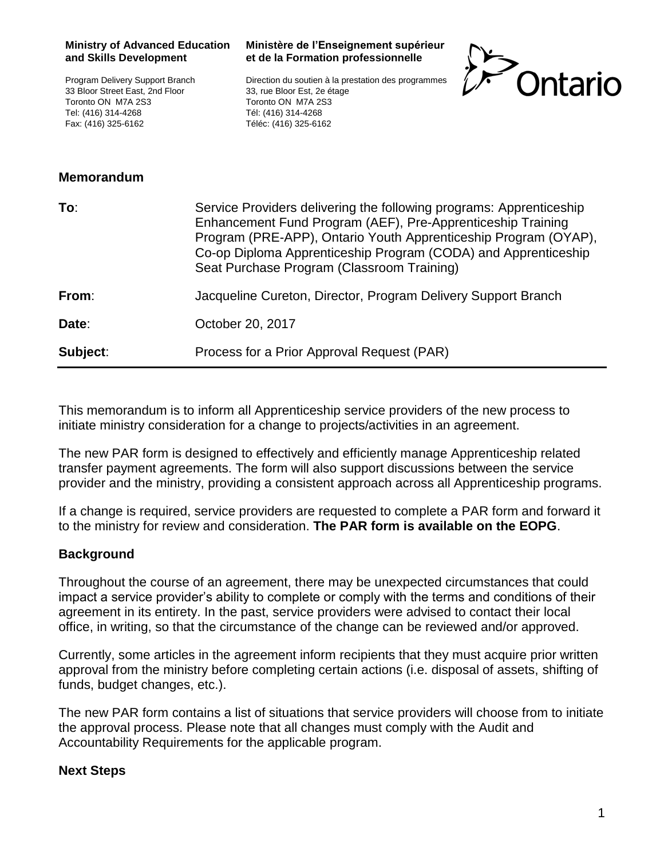Program Delivery Support Branch 33 Bloor Street East, 2nd Floor Toronto ON M7A 2S3 Tel: (416) 314-4268 Fax: (416) 325-6162

## **Ministère de l'Enseignement supérieur et de la Formation professionnelle**

Direction du soutien à la prestation des programmes 33, rue Bloor Est, 2e étage Toronto ON M7A 2S3 Tél: (416) 314-4268 Téléc: (416) 325-6162



## **Memorandum**

| To:      | Service Providers delivering the following programs: Apprenticeship<br>Enhancement Fund Program (AEF), Pre-Apprenticeship Training<br>Program (PRE-APP), Ontario Youth Apprenticeship Program (OYAP),<br>Co-op Diploma Apprenticeship Program (CODA) and Apprenticeship<br>Seat Purchase Program (Classroom Training) |
|----------|-----------------------------------------------------------------------------------------------------------------------------------------------------------------------------------------------------------------------------------------------------------------------------------------------------------------------|
| From:    | Jacqueline Cureton, Director, Program Delivery Support Branch                                                                                                                                                                                                                                                         |
| Date:    | October 20, 2017                                                                                                                                                                                                                                                                                                      |
| Subject: | Process for a Prior Approval Request (PAR)                                                                                                                                                                                                                                                                            |

This memorandum is to inform all Apprenticeship service providers of the new process to initiate ministry consideration for a change to projects/activities in an agreement.

The new PAR form is designed to effectively and efficiently manage Apprenticeship related transfer payment agreements. The form will also support discussions between the service provider and the ministry, providing a consistent approach across all Apprenticeship programs.

If a change is required, service providers are requested to complete a PAR form and forward it to the ministry for review and consideration. **The PAR form is available on the EOPG**.

## **Background**

Throughout the course of an agreement, there may be unexpected circumstances that could impact a service provider's ability to complete or comply with the terms and conditions of their agreement in its entirety. In the past, service providers were advised to contact their local office, in writing, so that the circumstance of the change can be reviewed and/or approved.

Currently, some articles in the agreement inform recipients that they must acquire prior written approval from the ministry before completing certain actions (i.e. disposal of assets, shifting of funds, budget changes, etc.).

The new PAR form contains a list of situations that service providers will choose from to initiate the approval process. Please note that all changes must comply with the Audit and Accountability Requirements for the applicable program.

## **Next Steps**